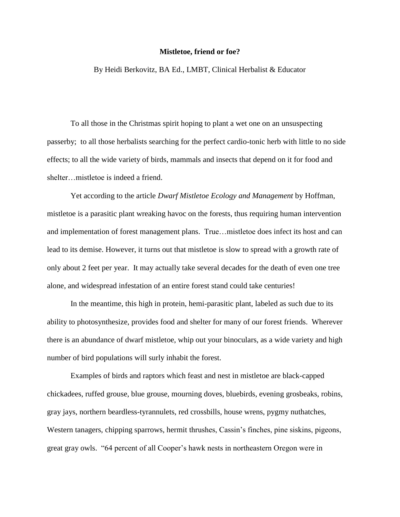## **Mistletoe, friend or foe?**

By Heidi Berkovitz, BA Ed., LMBT, Clinical Herbalist & Educator

To all those in the Christmas spirit hoping to plant a wet one on an unsuspecting passerby; to all those herbalists searching for the perfect cardio-tonic herb with little to no side effects; to all the wide variety of birds, mammals and insects that depend on it for food and shelter…mistletoe is indeed a friend.

Yet according to the article *Dwarf Mistletoe Ecology and Management* by Hoffman, mistletoe is a parasitic plant wreaking havoc on the forests, thus requiring human intervention and implementation of forest management plans. True…mistletoe does infect its host and can lead to its demise. However, it turns out that mistletoe is slow to spread with a growth rate of only about 2 feet per year. It may actually take several decades for the death of even one tree alone, and widespread infestation of an entire forest stand could take centuries!

In the meantime, this high in protein, hemi-parasitic plant, labeled as such due to its ability to photosynthesize, provides food and shelter for many of our forest friends. Wherever there is an abundance of dwarf mistletoe, whip out your binoculars, as a wide variety and high number of bird populations will surly inhabit the forest.

Examples of birds and raptors which feast and nest in mistletoe are black-capped chickadees, ruffed grouse, blue grouse, mourning doves, bluebirds, evening grosbeaks, robins, gray jays, northern beardless-tyrannulets, red crossbills, house wrens, pygmy nuthatches, Western tanagers, chipping sparrows, hermit thrushes, Cassin's finches, pine siskins, pigeons, great gray owls. "64 percent of all Cooper's hawk nests in northeastern Oregon were in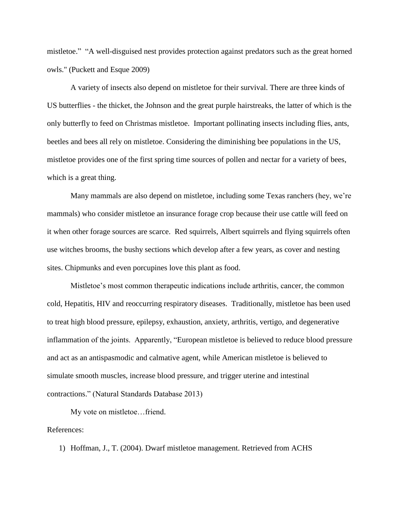mistletoe." "A well-disguised nest provides protection against predators such as the great horned owls." (Puckett and Esque 2009)

A variety of insects also depend on mistletoe for their survival. There are three kinds of US butterflies - the thicket, the Johnson and the great purple hairstreaks, the latter of which is the only butterfly to feed on Christmas mistletoe. Important pollinating insects including flies, ants, beetles and bees all rely on mistletoe. Considering the diminishing bee populations in the US, mistletoe provides one of the first spring time sources of pollen and nectar for a variety of bees, which is a great thing.

Many mammals are also depend on mistletoe, including some Texas ranchers (hey, we're mammals) who consider mistletoe an insurance forage crop because their use cattle will feed on it when other forage sources are scarce. Red squirrels, Albert squirrels and flying squirrels often use witches brooms, the bushy sections which develop after a few years, as cover and nesting sites. Chipmunks and even porcupines love this plant as food.

Mistletoe's most common therapeutic indications include arthritis, cancer, the common cold, Hepatitis, HIV and reoccurring respiratory diseases. Traditionally, mistletoe has been used to treat high blood pressure, epilepsy, exhaustion, anxiety, arthritis, vertigo, and degenerative inflammation of the joints. Apparently, "European mistletoe is believed to reduce blood pressure and act as an antispasmodic and calmative agent, while American mistletoe is believed to simulate smooth muscles, increase blood pressure, and trigger uterine and intestinal contractions." (Natural Standards Database 2013)

My vote on mistletoe…friend.

References:

1) Hoffman, J., T. (2004). Dwarf mistletoe management. Retrieved from ACHS